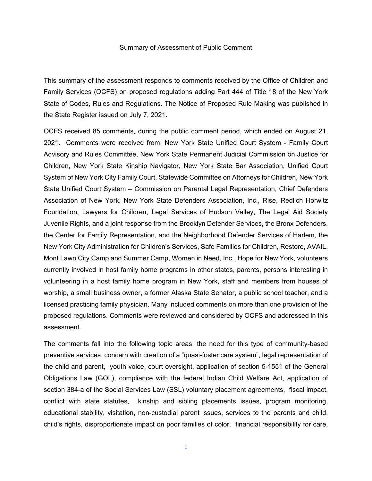## Summary of Assessment of Public Comment

This summary of the assessment responds to comments received by the Office of Children and Family Services (OCFS) on proposed regulations adding Part 444 of Title 18 of the New York State of Codes, Rules and Regulations. The Notice of Proposed Rule Making was published in the State Register issued on July 7, 2021.

OCFS received 85 comments, during the public comment period, which ended on August 21, 2021. Comments were received from: New York State Unified Court System - Family Court Advisory and Rules Committee, New York State Permanent Judicial Commission on Justice for Children, New York State Kinship Navigator, New York State Bar Association, Unified Court System of New York City Family Court, Statewide Committee on Attorneys for Children, New York State Unified Court System – Commission on Parental Legal Representation, Chief Defenders Association of New York, New York State Defenders Association, Inc., Rise, Redlich Horwitz Foundation, Lawyers for Children, Legal Services of Hudson Valley, The Legal Aid Society Juvenile Rights, and a joint response from the Brooklyn Defender Services, the Bronx Defenders, the Center for Family Representation, and the Neighborhood Defender Services of Harlem, the New York City Administration for Children's Services, Safe Families for Children, Restore, AVAIL, Mont Lawn City Camp and Summer Camp, Women in Need, Inc., Hope for New York, volunteers currently involved in host family home programs in other states, parents, persons interesting in volunteering in a host family home program in New York, staff and members from houses of worship, a small business owner, a former Alaska State Senator, a public school teacher, and a licensed practicing family physician. Many included comments on more than one provision of the proposed regulations. Comments were reviewed and considered by OCFS and addressed in this assessment.

The comments fall into the following topic areas: the need for this type of community-based preventive services, concern with creation of a "quasi-foster care system", legal representation of the child and parent, youth voice, court oversight, application of section 5-1551 of the General Obligations Law (GOL), compliance with the federal Indian Child Welfare Act, application of section 384-a of the Social Services Law (SSL) voluntary placement agreements, fiscal impact, conflict with state statutes, kinship and sibling placements issues, program monitoring, educational stability, visitation, non-custodial parent issues, services to the parents and child, child's rights, disproportionate impact on poor families of color, financial responsibility for care,

1